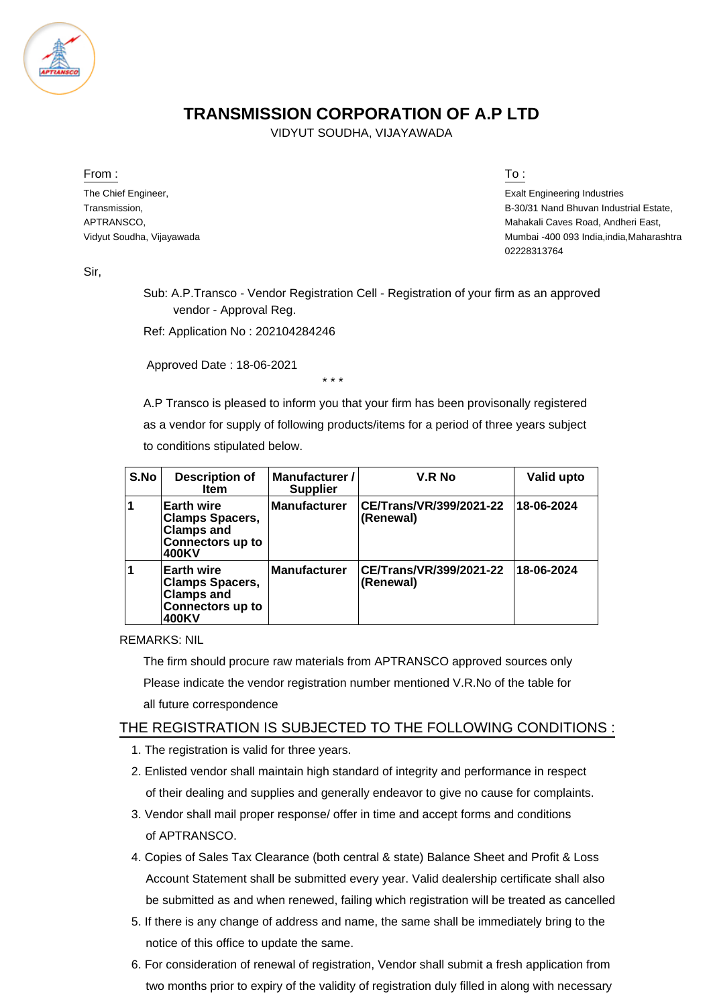

## **TRANSMISSION CORPORATION OF A.P LTD**

VIDYUT SOUDHA, VIJAYAWADA

From : To :

The Chief Engineer, Transmission, APTRANSCO, Vidyut Soudha, Vijayawada

Exalt Engineering Industries B-30/31 Nand Bhuvan Industrial Estate, Mahakali Caves Road, Andheri East, Mumbai -400 093 India,india,Maharashtra 02228313764

Sir,

Sub: A.P.Transco - Vendor Registration Cell - Registration of your firm as an approved vendor - Approval Reg.

Ref: Application No : 202104284246

Approved Date : 18-06-2021

\* \* \*

A.P Transco is pleased to inform you that your firm has been provisonally registered as a vendor for supply of following products/items for a period of three years subject to conditions stipulated below.

| S.No | <b>Description of</b><br>Item                                                                        | Manufacturer /<br><b>Supplier</b> | V.R No                               | Valid upto |
|------|------------------------------------------------------------------------------------------------------|-----------------------------------|--------------------------------------|------------|
|      | <b>Earth wire</b><br><b>Clamps Spacers,</b><br><b>Clamps and</b><br><b>Connectors up to</b><br>400KV | <b>Manufacturer</b>               | CE/Trans/VR/399/2021-22<br>(Renewal) | 18-06-2024 |
|      | <b>Earth wire</b><br><b>Clamps Spacers,</b><br><b>Clamps and</b><br><b>Connectors up to</b><br>400KV | <b>Manufacturer</b>               | CE/Trans/VR/399/2021-22<br>(Renewal) | 18-06-2024 |

REMARKS: NIL

The firm should procure raw materials from APTRANSCO approved sources only Please indicate the vendor registration number mentioned V.R.No of the table for all future correspondence

## THE REGISTRATION IS SUBJECTED TO THE FOLLOWING CONDITIONS :

- 1. The registration is valid for three years.
- 2. Enlisted vendor shall maintain high standard of integrity and performance in respect of their dealing and supplies and generally endeavor to give no cause for complaints.
- 3. Vendor shall mail proper response/ offer in time and accept forms and conditions of APTRANSCO.
- 4. Copies of Sales Tax Clearance (both central & state) Balance Sheet and Profit & Loss Account Statement shall be submitted every year. Valid dealership certificate shall also be submitted as and when renewed, failing which registration will be treated as cancelled
- 5. If there is any change of address and name, the same shall be immediately bring to the notice of this office to update the same.
- 6. For consideration of renewal of registration, Vendor shall submit a fresh application from two months prior to expiry of the validity of registration duly filled in along with necessary